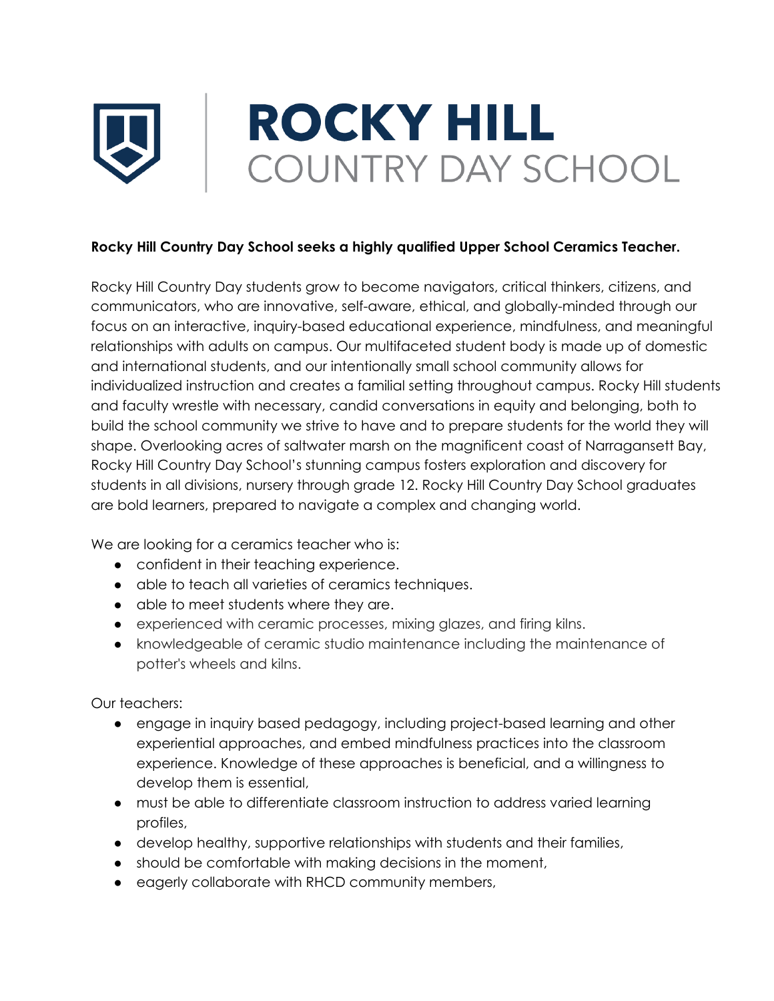## **ROCKY HILL** COUNTRY DAY SCHOOL

## **Rocky Hill Country Day School seeks a highly qualified Upper School Ceramics Teacher.**

Rocky Hill Country Day students grow to become navigators, critical thinkers, citizens, and communicators, who are innovative, self-aware, ethical, and globally-minded through our focus on an interactive, inquiry-based educational experience, mindfulness, and meaningful relationships with adults on campus. Our multifaceted student body is made up of domestic and international students, and our intentionally small school community allows for individualized instruction and creates a familial setting throughout campus. Rocky Hill students and faculty wrestle with necessary, candid conversations in equity and belonging, both to build the school community we strive to have and to prepare students for the world they will shape. Overlooking acres of saltwater marsh on the magnificent coast of Narragansett Bay, Rocky Hill Country Day School's stunning campus fosters exploration and discovery for students in all divisions, nursery through grade 12. Rocky Hill Country Day School graduates are bold learners, prepared to navigate a complex and changing world.

We are looking for a ceramics teacher who is:

- confident in their teaching experience.
- able to teach all varieties of ceramics techniques.
- able to meet students where they are.
- experienced with ceramic processes, mixing glazes, and firing kilns.
- knowledgeable of ceramic studio maintenance including the maintenance of potter's wheels and kilns.

Our teachers:

- engage in inquiry based pedagogy, including project-based learning and other experiential approaches, and embed mindfulness practices into the classroom experience. Knowledge of these approaches is beneficial, and a willingness to develop them is essential,
- must be able to differentiate classroom instruction to address varied learning profiles,
- develop healthy, supportive relationships with students and their families,
- should be comfortable with making decisions in the moment,
- eagerly collaborate with RHCD community members,